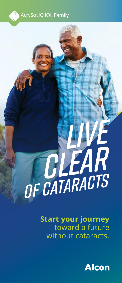

# **CLEAR** *live of cataracts*

**Start your journey** toward a future without cataracts.

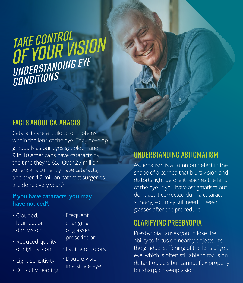## *of Your Vision Take Control Understanding Eye Conditions*

## Facts about Cataracts

Cataracts are a buildup of proteins within the lens of the eye. They develop gradually as our eyes get older, and 9 in 10 Americans have cataracts by the time they're 65.<sup>1</sup> Over 25 million Americans currently have cataracts,<sup>2</sup> and over 4.2 million cataract surgeries are done every year.3

#### **If you have cataracts, you may have noticed4 :**

- Clouded, blurred, or dim vision
- Reduced quality of night vision
- Light sensitivity
- Difficulty reading
- Frequent changing of glasses prescription
- Fading of colors
- Double vision in a single eye

## understanding astigmatism

Astigmatism is a common defect in the shape of a cornea that blurs vision and distorts light before it reaches the lens of the eye. If you have astigmatism but don't get it corrected during cataract surgery, you may still need to wear glasses after the procedure.

## Clarifying Presbyopia

Presbyopia causes you to lose the ability to focus on nearby objects. It's the gradual stiffening of the lens of your eye, which is often still able to focus on distant objects but cannot flex properly for sharp, close-up vision.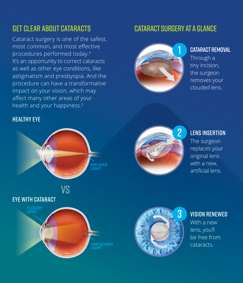## Get Clear About Cataracts

Cataract surgery is one of the safest, most common, and most effective procedures performed today.4 It's an opportunity to correct cataracts as well as other eye conditions, like astigmatism and presbyopia. And the procedure can have a transformative impact on your vision, which may affect many other areas of your health and your happiness.<sup>5</sup>

#### Healthy eye



## Cataract Surgery at a Glance



#### CATARACT REMOVAL

Through a tiny incision, the surgeon removes your clouded lens.



## 2 LENS INSERTION

The surgeon replaces your original lens with a new, artificial lens.



### 3 Vision Renewed

With a new lens, you'll be free from cataracts.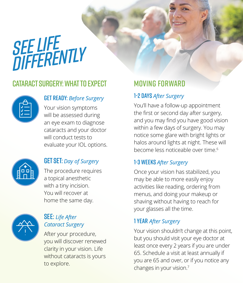# *See Life Differently*

## Cataract Surgery: What to Expect



#### Get Ready: *Before Surgery*

Your vision symptoms will be assessed during an eye exam to diagnose cataracts and your doctor will conduct tests to evaluate your IOL options.



## **GET SET:** *Day of Surgery*

The procedure requires a topical anesthetic with a tiny incision. You will recover at home the same day.



#### **SEE:** Life After *Cataract Surgery*

After your procedure, you will discover renewed clarity in your vision. Life without cataracts is yours to explore.

## MOVING FORWARD

#### 1-2 Days *After Surgery*

You'll have a follow-up appointment the first or second day after surgery, and you may find you have good vision within a few days of surgery. You may notice some glare with bright lights or halos around lights at night. These will become less noticeable over time.6

#### 1-3 Weeks *After Surgery*

Once your vision has stabilized, you may be able to more easily enjoy activities like reading, ordering from menus, and doing your makeup or shaving without having to reach for your glasses all the time.

#### 1 Year *After Surgery*

Your vision shouldn't change at this point, but you should visit your eye doctor at least once every 2 years if you are under 65. Schedule a visit at least annually if you are 65 and over, or if you notice any changes in your vision.7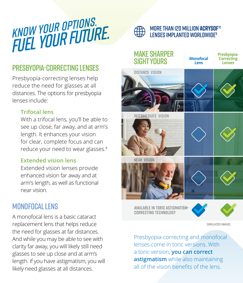# *Fuel YOUR FUTURE. KNOW YOUR OPTIONS.*

## Presbyopia-Correcting Lenses

Presbyopia-correcting lenses help reduce the need for glasses at all distances. The options for presbyopia lenses include:

#### **Trifocal lens**

With a trifocal lens, you'll be able to see up close, far away, and at arm's length. It enhances your vision for clear, complete focus and can reduce your need to wear glasses.<sup>8</sup>

#### **Extended vision lens**

Extended vision lenses provide enhanced vision far away and at arm's length, as well as functional near vision.

## Monofocal Lens

A monofocal lens is a basic cataract replacement lens that helps reduce the need for glasses at far distances. And while you may be able to see with clarity far away, you will likely still need glasses to see up close and at arm's length. If you have astigmatism, you will likely need glasses at all distances.



#### More than 120 million **AcrySof**® lenses implanted worldwide9



Available in Toric Astigmatism-Correcting Technology



**SIMULATED IMAGES**

Presbyopia-correcting and monofocal lenses come in toric versions. With a toric version, **you can correct astigmatism** while also maintaining all of the vision benefits of the lens.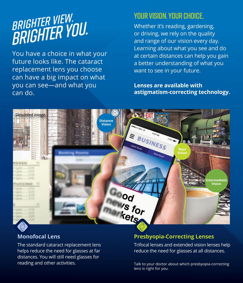# *BRIGHTER YOU. BRIGHTER VIEW.*

You have a choice in what your future looks like. The cataract replacement lens you choose can have a big impact on what you can see—and what you can do.

## Your Vision. Your Choice.

Whether it's reading, gardening, or driving, we rely on the quality and range of our vision every day. Learning about what you see and do at certain distances can help you gain a better understanding of what you want to see in your future.

#### **Lenses are available with astigmatism-correcting technology.**



#### **Monofocal Lens**

The standard cataract replacement lens helps reduce the need for glasses at far distances. You will still need glasses for reading and other activities.

#### **Presbyopia-Correcting Lenses**

Trifocal lenses and extended vision lenses help reduce the need for glasses at all distances.

Talk to your doctor about which presbyopia-correcting lens is right for you.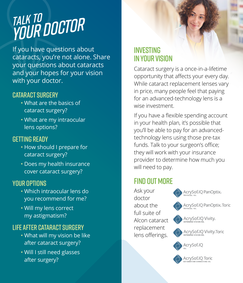# *Your Doctor Talk to*

If you have questions about cataracts, you're not alone. Share your questions about cataracts and your hopes for your vision with your doctor.

## Cataract Surgery

- What are the basics of cataract surgery?
- What are my intraocular lens options?

#### Getting Ready

- How should I prepare for cataract surgery?
- Does my health insurance cover cataract surgery?

#### YOUR OPTIONS

- Which intraocular lens do you recommend for me?
- Will my lens correct my astigmatism?

## Life After Cataract Surgery

- What will my vision be like after cataract surgery?
- Will I still need glasses after surgery?

## Investing in Your Vision

Cataract surgery is a once-in-a-lifetime opportunity that affects your every day. While cataract replacement lenses vary in price, many people feel that paying for an advanced-technology lens is a wise investment.

If you have a flexible spending account in your health plan, it's possible that you'll be able to pay for an advancedtechnology lens using those pre-tax funds. Talk to your surgeon's office; they will work with your insurance provider to determine how much you will need to pay.

## **FIND OUT MORF**

Ask your doctor about the full suite of Alcon cataract replacement lens offerings.

AcrySof.IQ PanOptix. AcrySof.IQ PanOptix. Toric ACrySof®IQ Vivity...







ACrySof®IQ Toric<br>astigmatism-correcting iol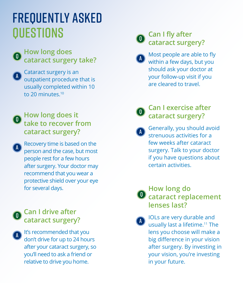## frequently asked **OUESTIONS**

 $\overline{0}$ 

#### **How long does cataract surgery take?**

Cataract surgery is an outpatient procedure that is usually completed within 10 to 20 minutes.<sup>10</sup> a

#### **How long does it take to recover from cataract surgery?** q

**Recovery time is based on the** person and the case, but most people rest for a few hours after surgery. Your doctor may recommend that you wear a protective shield over your eye for several days.

#### n **Can I drive after cataract surgery?**

a

a

It's recommended that you don't drive for up to 24 hours after your cataract surgery, so you'll need to ask a friend or relative to drive you home.

## q

### **Can I fly after cataract surgery?**

- Most people are able to fly within a few days, but you should ask your doctor at your follow-up visit if you are cleared to travel. a
- q

## **Can I exercise after cataract surgery?**

Generally, you should avoid strenuous activities for a few weeks after cataract surgery. Talk to your doctor if you have questions about certain activities. a

## **How long do D** cataract replacement **lenses last?**

IOLs are very durable and usually last a lifetime.<sup>11</sup> The lens you choose will make a big difference in your vision after surgery. By investing in your vision, you're investing in your future. a